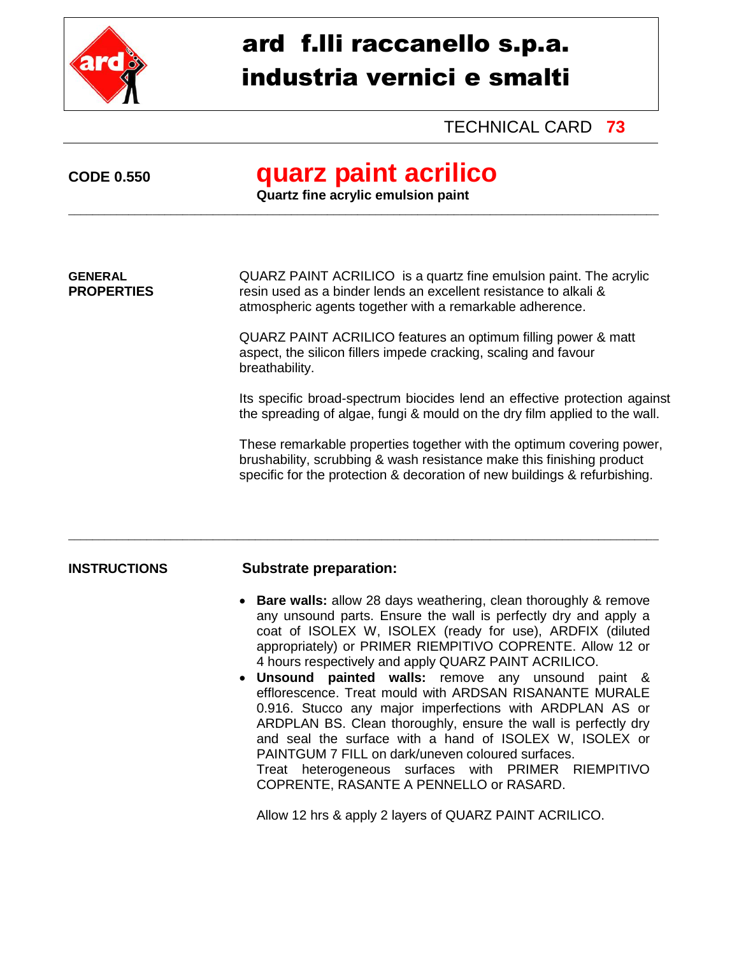

# ard f.lli raccanello s.p.a. industria vernici e smalti

## TECHNICAL CARD **73**

## **CODE 0.550 quarz paint acrilico**

**Quartz fine acrylic emulsion paint**  \_\_\_\_\_\_\_\_\_\_\_\_\_\_\_\_\_\_\_\_\_\_\_\_\_\_\_\_\_\_\_\_\_\_\_\_\_\_\_\_\_\_\_\_\_\_\_\_\_\_\_\_\_\_\_\_\_\_\_\_\_\_\_\_\_\_\_\_\_\_\_\_\_\_\_\_\_\_\_\_\_\_\_\_\_\_\_\_\_\_\_\_\_\_\_\_\_\_

**GENERAL** QUARZ PAINT ACRILICO is a quartz fine emulsion paint. The acrylic **PROPERTIES** resin used as a binder lends an excellent resistance to alkali & atmospheric agents together with a remarkable adherence.

> QUARZ PAINT ACRILICO features an optimum filling power & matt aspect, the silicon fillers impede cracking, scaling and favour breathability.

Its specific broad-spectrum biocides lend an effective protection against the spreading of algae, fungi & mould on the dry film applied to the wall.

These remarkable properties together with the optimum covering power, brushability, scrubbing & wash resistance make this finishing product specific for the protection & decoration of new buildings & refurbishing.

### **INSTRUCTIONS Substrate preparation:**

\_\_\_\_\_\_\_\_\_\_\_\_\_\_\_\_\_\_\_\_\_\_\_\_\_\_\_\_\_\_\_\_\_\_\_\_\_\_\_\_\_\_\_\_\_\_\_\_\_\_\_\_\_\_\_\_\_\_\_\_\_\_\_\_\_\_\_\_\_\_\_\_\_\_\_\_\_\_\_\_\_\_\_\_\_\_\_\_\_\_\_\_\_\_\_\_\_\_

- **Bare walls:** allow 28 days weathering, clean thoroughly & remove any unsound parts. Ensure the wall is perfectly dry and apply a coat of ISOLEX W, ISOLEX (ready for use), ARDFIX (diluted appropriately) or PRIMER RIEMPITIVO COPRENTE. Allow 12 or 4 hours respectively and apply QUARZ PAINT ACRILICO.
- **Unsound painted walls:** remove any unsound paint & efflorescence. Treat mould with ARDSAN RISANANTE MURALE 0.916. Stucco any major imperfections with ARDPLAN AS or ARDPLAN BS. Clean thoroughly, ensure the wall is perfectly dry and seal the surface with a hand of ISOLEX W, ISOLEX or PAINTGUM 7 FILL on dark/uneven coloured surfaces. Treat heterogeneous surfaces with PRIMER RIEMPITIVO COPRENTE, RASANTE A PENNELLO or RASARD.

Allow 12 hrs & apply 2 layers of QUARZ PAINT ACRILICO.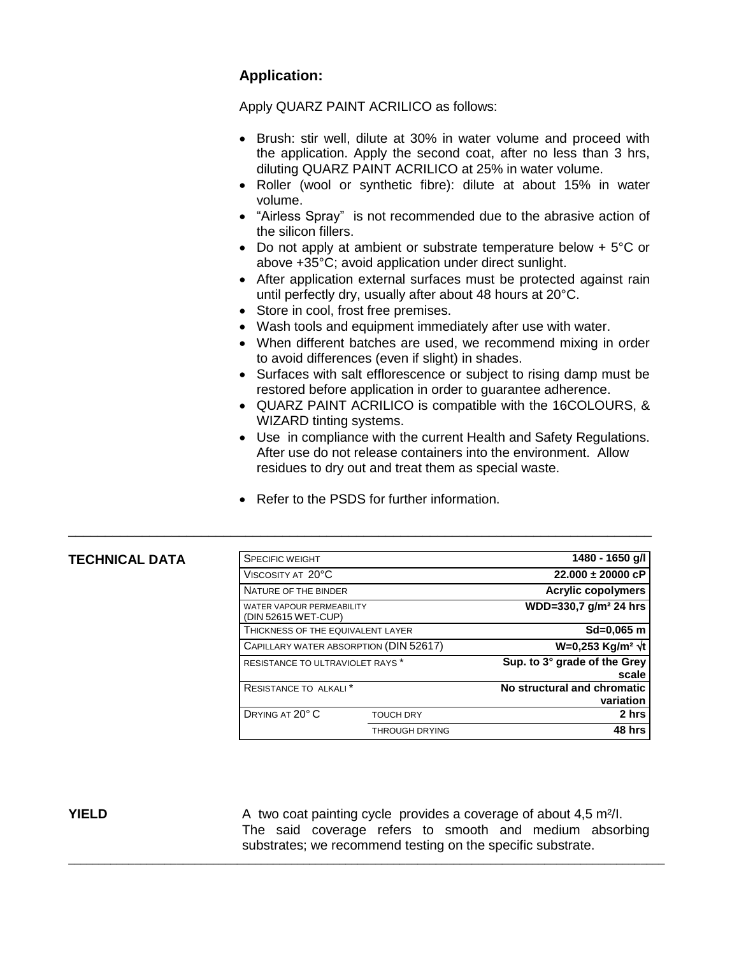### **Application:**

Apply QUARZ PAINT ACRILICO as follows:

- Brush: stir well, dilute at 30% in water volume and proceed with the application. Apply the second coat, after no less than 3 hrs, diluting QUARZ PAINT ACRILICO at 25% in water volume.
- Roller (wool or synthetic fibre): dilute at about 15% in water volume.
- "Airless Spray" is not recommended due to the abrasive action of the silicon fillers.
- Do not apply at ambient or substrate temperature below + 5°C or above +35°C; avoid application under direct sunlight.
- After application external surfaces must be protected against rain until perfectly dry, usually after about 48 hours at 20°C.
- Store in cool, frost free premises.
- Wash tools and equipment immediately after use with water.
- When different batches are used, we recommend mixing in order to avoid differences (even if slight) in shades.
- Surfaces with salt efflorescence or subject to rising damp must be restored before application in order to guarantee adherence.
- QUARZ PAINT ACRILICO is compatible with the 16COLOURS, & WIZARD tinting systems.
- Use in compliance with the current Health and Safety Regulations. After use do not release containers into the environment. Allow residues to dry out and treat them as special waste.
- Refer to the PSDS for further information.

\_\_\_\_\_\_\_\_\_\_\_\_\_\_\_\_\_\_\_\_\_\_\_\_\_\_\_\_\_\_\_\_\_\_\_\_\_\_\_\_\_\_\_\_\_\_\_\_\_\_\_\_\_\_\_\_\_\_\_\_\_\_\_\_\_\_\_\_\_\_\_\_\_\_\_\_\_\_\_

\_\_\_\_\_\_\_\_\_\_\_\_\_\_\_\_\_\_\_\_\_\_\_\_\_\_\_\_\_\_\_\_\_\_\_\_\_\_\_\_\_\_\_\_\_\_\_\_\_\_\_\_\_\_\_\_\_\_\_\_\_\_\_\_\_\_\_\_\_\_\_\_\_\_\_\_\_\_\_\_\_\_\_\_\_\_\_\_\_\_\_\_\_\_\_\_\_\_\_

### $TECHNICAL DATA$

| 1480 - 1650 g/l                          | <b>SPECIFIC WEIGHT</b>                                  |                 |
|------------------------------------------|---------------------------------------------------------|-----------------|
| $22.000 \pm 20000$ cP                    | VISCOSITY AT 20°C                                       |                 |
| <b>Acrylic copolymers</b>                | NATURE OF THE BINDER                                    |                 |
| WDD=330,7 g/m <sup>2</sup> 24 hrs        | <b>WATER VAPOUR PERMEABILITY</b><br>(DIN 52615 WET-CUP) |                 |
| $Sd = 0.065$ m                           | THICKNESS OF THE EQUIVALENT LAYER                       |                 |
| W=0,253 Kg/m <sup>2</sup> √t             | CAPILLARY WATER ABSORPTION (DIN 52617)                  |                 |
| Sup. to 3° grade of the Grey<br>scale    | RESISTANCE TO ULTRAVIOLET RAYS *                        |                 |
| No structural and chromatic<br>variation | RESISTANCE TO ALKALI <sup>*</sup>                       |                 |
| 2 hrs                                    | <b>TOUCH DRY</b>                                        | DRYING AT 20° C |
| 48 hrs                                   | <b>THROUGH DRYING</b>                                   |                 |
|                                          |                                                         |                 |

**YIELD** A two coat painting cycle provides a coverage of about 4.5 m<sup>2</sup>/l. The said coverage refers to smooth and medium absorbing substrates; we recommend testing on the specific substrate.